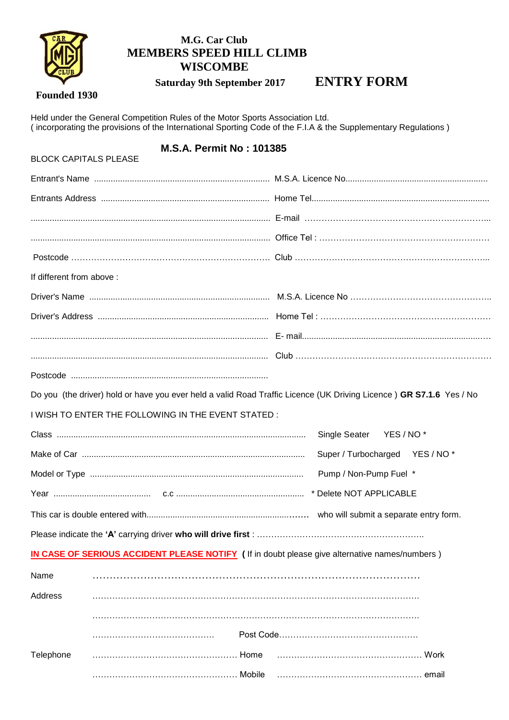

## **M.G. Car Club MEMBERS SPEED HILL CLIMB WISCOMBE**

 **Saturday 9th September 2017 ENTRY FORM**

## **Founded 1930**

Held under the General Competition Rules of the Motor Sports Association Ltd. ( incorporating the provisions of the International Sporting Code of the F.I.A & the Supplementary Regulations )

# **M.S.A. Permit No : 101385**

| <b>BLOCK CAPITALS PLEASE</b> |                                                    |                                                                                                                     |
|------------------------------|----------------------------------------------------|---------------------------------------------------------------------------------------------------------------------|
|                              |                                                    |                                                                                                                     |
|                              |                                                    |                                                                                                                     |
|                              |                                                    |                                                                                                                     |
|                              |                                                    |                                                                                                                     |
|                              |                                                    |                                                                                                                     |
| If different from above :    |                                                    |                                                                                                                     |
|                              |                                                    |                                                                                                                     |
|                              |                                                    |                                                                                                                     |
|                              |                                                    |                                                                                                                     |
|                              |                                                    |                                                                                                                     |
|                              |                                                    |                                                                                                                     |
|                              |                                                    | Do you (the driver) hold or have you ever held a valid Road Traffic Licence (UK Driving Licence) GR S7.1.6 Yes / No |
|                              | I WISH TO ENTER THE FOLLOWING IN THE EVENT STATED: |                                                                                                                     |
|                              |                                                    | Single Seater YES / NO*                                                                                             |
|                              |                                                    | Super / Turbocharged YES / NO*                                                                                      |
|                              |                                                    | Pump / Non-Pump Fuel *                                                                                              |
|                              |                                                    |                                                                                                                     |
|                              |                                                    |                                                                                                                     |
|                              |                                                    |                                                                                                                     |
|                              |                                                    | IN CASE OF SERIOUS ACCIDENT PLEASE NOTIFY (If in doubt please give alternative names/numbers)                       |
| Name                         |                                                    |                                                                                                                     |
| Address                      |                                                    |                                                                                                                     |
|                              |                                                    |                                                                                                                     |
|                              |                                                    |                                                                                                                     |
| Telephone                    |                                                    |                                                                                                                     |
|                              | Mobile                                             |                                                                                                                     |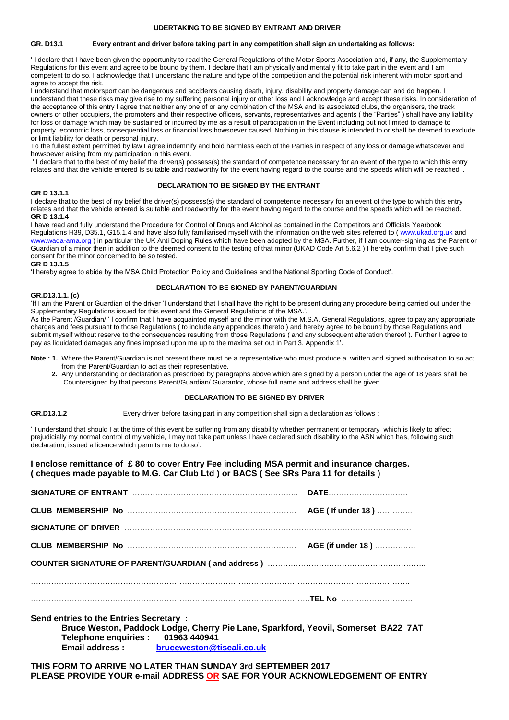#### **UDERTAKING TO BE SIGNED BY ENTRANT AND DRIVER**

#### **GR. D13.1 Every entrant and driver before taking part in any competition shall sign an undertaking as follows:**

' I declare that I have been given the opportunity to read the General Regulations of the Motor Sports Association and, if any, the Supplementary Regulations for this event and agree to be bound by them. I declare that I am physically and mentally fit to take part in the event and I am competent to do so. I acknowledge that I understand the nature and type of the competition and the potential risk inherent with motor sport and agree to accept the risk.

I understand that motorsport can be dangerous and accidents causing death, injury, disability and property damage can and do happen. I understand that these risks may give rise to my suffering personal injury or other loss and I acknowledge and accept these risks. In consideration of the acceptance of this entry I agree that neither any one of or any combination of the MSA and its associated clubs, the organisers, the track owners or other occupiers, the promoters and their respective officers, servants, representatives and agents ( the "Parties" ) shall have any liability for loss or damage which may be sustained or incurred by me as a result of participation in the Event including but not limited to damage to property, economic loss, consequential loss or financial loss howsoever caused. Nothing in this clause is intended to or shall be deemed to exclude or limit liability for death or personal injury.

To the fullest extent permitted by law I agree indemnify and hold harmless each of the Parties in respect of any loss or damage whatsoever and howsoever arising from my participation in this event.

' I declare that to the best of my belief the driver(s) possess(s) the standard of competence necessary for an event of the type to which this entry relates and that the vehicle entered is suitable and roadworthy for the event having regard to the course and the speeds which will be reached '.

#### **DECLARATION TO BE SIGNED BY THE ENTRANT**

#### **GR D 13.1.1**

I declare that to the best of my belief the driver(s) possess(s) the standard of competence necessary for an event of the type to which this entry relates and that the vehicle entered is suitable and roadworthy for the event having regard to the course and the speeds which will be reached. **GR D 13.1.4**

I have read and fully understand the Procedure for Control of Drugs and Alcohol as contained in the Competitors and Officials Yearbook Regulations H39, D35.1, G15.1.4 and have also fully familiarised myself with the information on the web sites referred to (www.ukad.org.uk and

[www.wada-ama.org](http://www.wada-ama.org/) ) in particular the UK Anti Doping Rules which have been adopted by the MSA. Further, if I am counter-signing as the Parent or Guardian of a minor then in addition to the deemed consent to the testing of that minor (UKAD Code Art 5.6.2 ) I hereby confirm that I give such consent for the minor concerned to be so tested.

**GR D 13.1.5** 

'I hereby agree to abide by the MSA Child Protection Policy and Guidelines and the National Sporting Code of Conduct'.

#### **DECLARATION TO BE SIGNED BY PARENT/GUARDIAN**

#### **GR.D13.1.1. (c)**

'If I am the Parent or Guardian of the driver 'I understand that I shall have the right to be present during any procedure being carried out under the Supplementary Regulations issued for this event and the General Regulations of the MSA.'.

As the Parent /Guardian/ ' I confirm that I have acquainted myself and the minor with the M.S.A. General Regulations, agree to pay any appropriate charges and fees pursuant to those Regulations ( to include any appendices thereto ) and hereby agree to be bound by those Regulations and submit myself without reserve to the consequences resulting from those Regulations ( and any subsequent alteration thereof ). Further I agree to pay as liquidated damages any fines imposed upon me up to the maxima set out in Part 3. Appendix 1'.

**Note : 1.** Where the Parent/Guardian is not present there must be a representative who must produce a written and signed authorisation to so act from the Parent/Guardian to act as their representative.

 **2.** Any understanding or declaration as prescribed by paragraphs above which are signed by a person under the age of 18 years shall be Countersigned by that persons Parent/Guardian/ Guarantor, whose full name and address shall be given.

#### **DECLARATION TO BE SIGNED BY DRIVER**

**GR.D13.1.2** Every driver before taking part in any competition shall sign a declaration as follows :

' I understand that should I at the time of this event be suffering from any disability whether permanent or temporary which is likely to affect prejudicially my normal control of my vehicle, I may not take part unless I have declared such disability to the ASN which has, following such declaration, issued a licence which permits me to do so'.

#### **I enclose remittance of £ 80 to cover Entry Fee including MSA permit and insurance charges. ( cheques made payable to M.G. Car Club Ltd ) or BACS ( See SRs Para 11 for details )**

| SIGNATURE OF ENTRANT MARKET AND ACCOUNT AND THE MARKET DATE AND DATE AND AN INCOMEDIATE SERVICE AND THE SERVICE SERVICE SERVICE SERVICE SERVICE SERVICE SERVICE SERVICE SERVICE SERVICE SERVICE SERVICE SERVICE SERVICE SERVIC |  |  |  |
|--------------------------------------------------------------------------------------------------------------------------------------------------------------------------------------------------------------------------------|--|--|--|
|                                                                                                                                                                                                                                |  |  |  |
|                                                                                                                                                                                                                                |  |  |  |
|                                                                                                                                                                                                                                |  |  |  |
|                                                                                                                                                                                                                                |  |  |  |
|                                                                                                                                                                                                                                |  |  |  |
|                                                                                                                                                                                                                                |  |  |  |
| Send entries to the Entries Secretary:<br>initiative in European County 1. Of the Pink and County 1. Accept County 1. December 1. D.C. 747                                                                                     |  |  |  |

**Bruce Weston, Paddock Lodge, Cherry Pie Lane, Sparkford, Yeovil, Somerset BA22 7AT Telephone enquiries : 01963 440941 Email address : [bruceweston@tiscali.co.uk](mailto:bruceweston@tiscali.co.uk)**

### **THIS FORM TO ARRIVE NO LATER THAN SUNDAY 3rd SEPTEMBER 2017 PLEASE PROVIDE YOUR e-mail ADDRESS OR SAE FOR YOUR ACKNOWLEDGEMENT OF ENTRY**